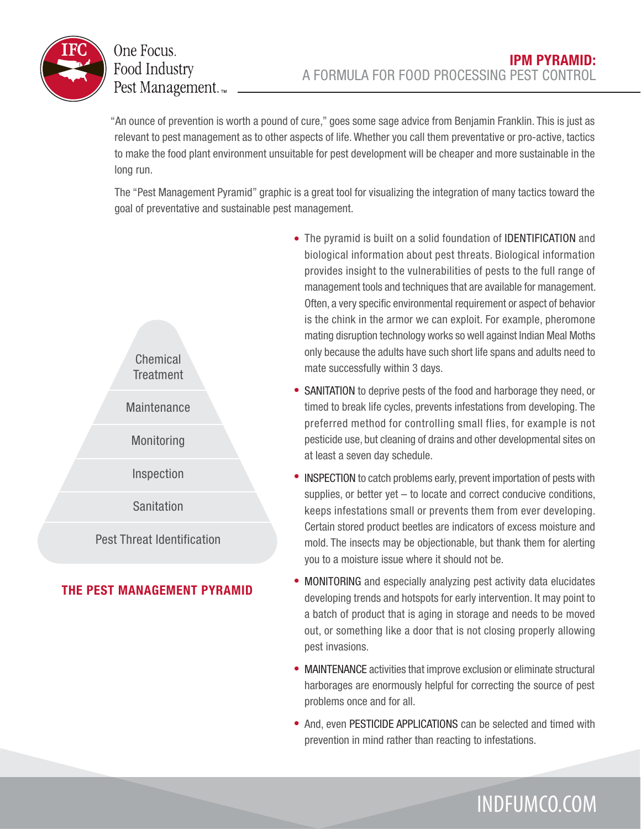

## One Focus. Food Industry Pest Management.<sub>™</sub>

"An ounce of prevention is worth a pound of cure," goes some sage advice from Benjamin Franklin. This is just as relevant to pest management as to other aspects of life. Whether you call them preventative or pro-active, tactics to make the food plant environment unsuitable for pest development will be cheaper and more sustainable in the long run.

The "Pest Management Pyramid" graphic is a great tool for visualizing the integration of many tactics toward the goal of preventative and sustainable pest management.



## **THE PEST MANAGEMENT PYRAMID**

- The pyramid is built on a solid foundation of IDENTIFICATION and biological information about pest threats. Biological information provides insight to the vulnerabilities of pests to the full range of management tools and techniques that are available for management. Often, a very specific environmental requirement or aspect of behavior is the chink in the armor we can exploit. For example, pheromone mating disruption technology works so well against Indian Meal Moths only because the adults have such short life spans and adults need to mate successfully within 3 days.
- SANITATION to deprive pests of the food and harborage they need, or timed to break life cycles, prevents infestations from developing. The preferred method for controlling small flies, for example is not pesticide use, but cleaning of drains and other developmental sites on at least a seven day schedule.
- INSPECTION to catch problems early, prevent importation of pests with supplies, or better yet – to locate and correct conducive conditions, keeps infestations small or prevents them from ever developing. Certain stored product beetles are indicators of excess moisture and mold. The insects may be objectionable, but thank them for alerting you to a moisture issue where it should not be.
- MONITORING and especially analyzing pest activity data elucidates developing trends and hotspots for early intervention. It may point to a batch of product that is aging in storage and needs to be moved out, or something like a door that is not closing properly allowing pest invasions.
- MAINTENANCE activities that improve exclusion or eliminate structural harborages are enormously helpful for correcting the source of pest problems once and for all.
- And, even PESTICIDE APPLICATIONS can be selected and timed with prevention in mind rather than reacting to infestations.

## INDFUMCO.COM